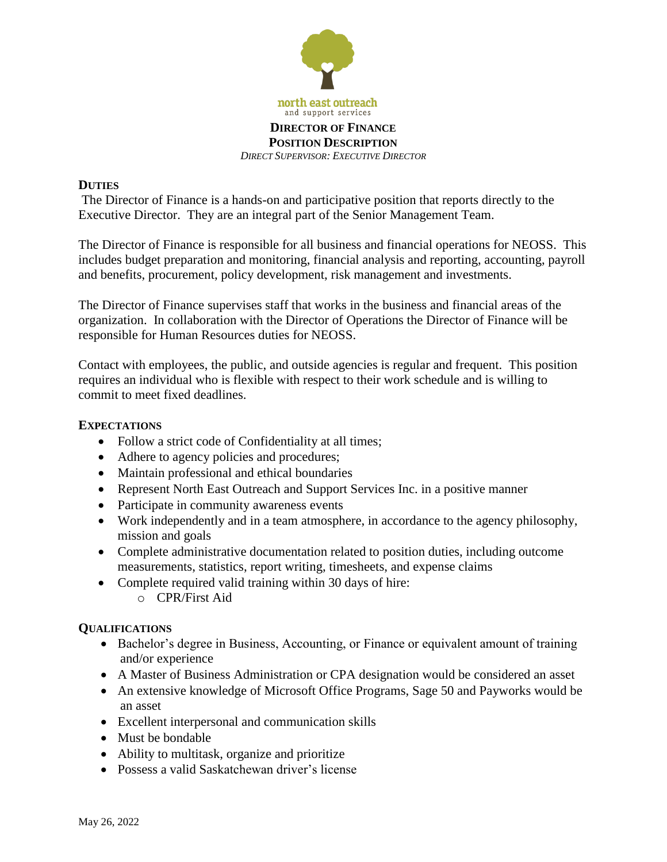

## **DUTIES**

The Director of Finance is a hands-on and participative position that reports directly to the Executive Director. They are an integral part of the Senior Management Team.

The Director of Finance is responsible for all business and financial operations for NEOSS. This includes budget preparation and monitoring, financial analysis and reporting, accounting, payroll and benefits, procurement, policy development, risk management and investments.

The Director of Finance supervises staff that works in the business and financial areas of the organization. In collaboration with the Director of Operations the Director of Finance will be responsible for Human Resources duties for NEOSS.

Contact with employees, the public, and outside agencies is regular and frequent. This position requires an individual who is flexible with respect to their work schedule and is willing to commit to meet fixed deadlines.

## **EXPECTATIONS**

- Follow a strict code of Confidentiality at all times;
- Adhere to agency policies and procedures;
- Maintain professional and ethical boundaries
- Represent North East Outreach and Support Services Inc. in a positive manner
- Participate in community awareness events
- Work independently and in a team atmosphere, in accordance to the agency philosophy, mission and goals
- Complete administrative documentation related to position duties, including outcome measurements, statistics, report writing, timesheets, and expense claims
- Complete required valid training within 30 days of hire:
	- o CPR/First Aid

## **QUALIFICATIONS**

- Bachelor's degree in Business, Accounting, or Finance or equivalent amount of training and/or experience
- A Master of Business Administration or CPA designation would be considered an asset
- An extensive knowledge of Microsoft Office Programs, Sage 50 and Payworks would be an asset
- Excellent interpersonal and communication skills
- Must be bondable
- Ability to multitask, organize and prioritize
- Possess a valid Saskatchewan driver's license